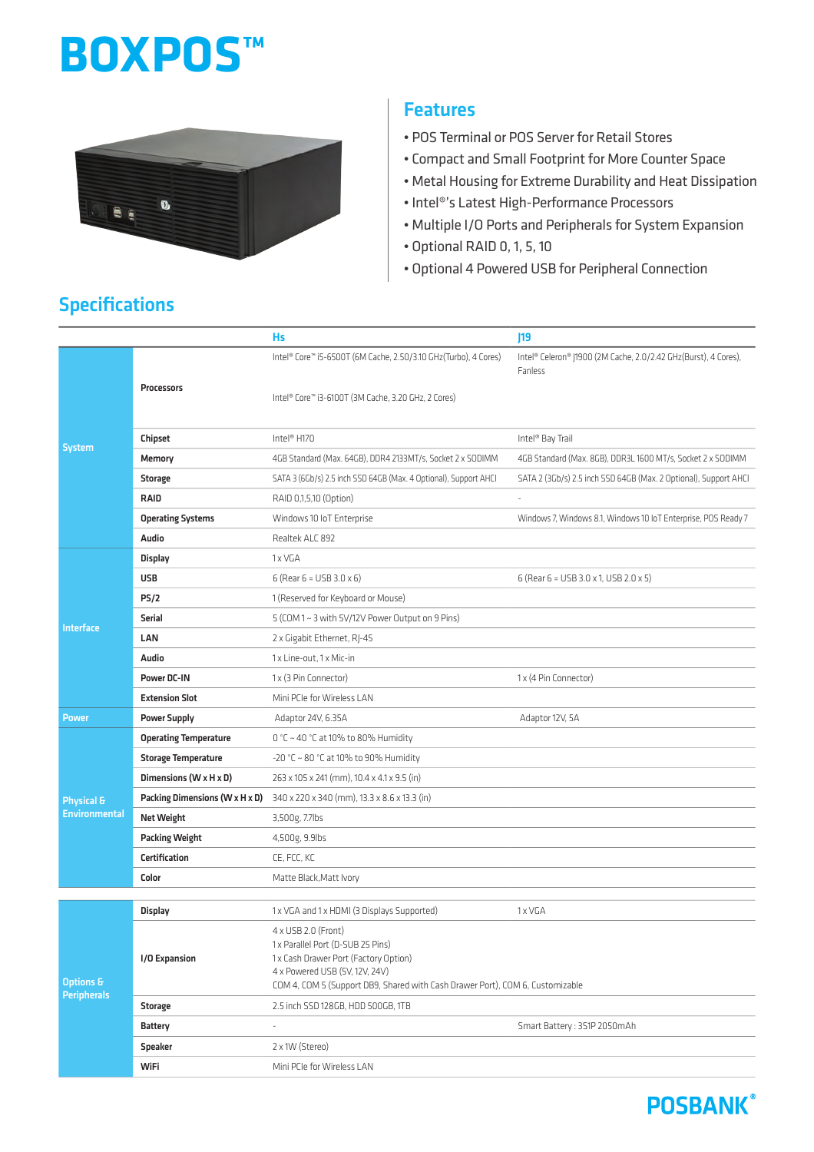# **BOXPOS™**



#### **Features**

- POS Terminal or POS Server for Retail Stores
- Compact and Small Footprint for More Counter Space
- Metal Housing for Extreme Durability and Heat Dissipation
- Intel®'s Latest High-Performance Processors
- Multiple I/O Ports and Peripherals for System Expansion
- Optional RAID 0, 1, 5, 10
- Optional 4 Powered USB for Peripheral Connection

|                                               |                                | Hs                                                                                                              | 19                                                                         |
|-----------------------------------------------|--------------------------------|-----------------------------------------------------------------------------------------------------------------|----------------------------------------------------------------------------|
| <b>System</b>                                 | Processors                     | Intel® Core™ i5-6500T (6M Cache, 2.50/3.10 GHz(Turbo), 4 Cores)                                                 | Intel® Celeron® J1900 (2M Cache, 2.0/2.42 GHz(Burst), 4 Cores),<br>Fanless |
|                                               |                                | Intel® Core™ i3-6100T (3M Cache, 3.20 GHz, 2 Cores)                                                             |                                                                            |
|                                               | Chipset                        | Intel <sup>®</sup> H170                                                                                         | Intel <sup>®</sup> Bay Trail                                               |
|                                               | Memory                         | 4GB Standard (Max. 64GB), DDR4 2133MT/s, Socket 2 x SODIMM                                                      | 4GB Standard (Max. 8GB), DDR3L 1600 MT/s, Socket 2 x SODIMM                |
|                                               | <b>Storage</b>                 | SATA 3 (6Gb/s) 2.5 inch SSD 64GB (Max. 4 Optional), Support AHCI                                                | SATA 2 (3Gb/s) 2.5 inch SSD 64GB (Max. 2 Optional), Support AHCI           |
|                                               | <b>RAID</b>                    | RAID 0,1,5,10 (Option)                                                                                          |                                                                            |
|                                               | <b>Operating Systems</b>       | Windows 10 IoT Enterprise                                                                                       | Windows 7, Windows 8.1, Windows 10 IoT Enterprise, POS Ready 7             |
|                                               | Audio                          | Realtek ALC 892                                                                                                 |                                                                            |
| <b>Interface</b>                              | Display                        | 1 x VGA                                                                                                         |                                                                            |
|                                               | <b>USB</b>                     | 6 (Rear $6 = \text{USB } 3.0 \times 6$ )                                                                        | 6 (Rear 6 = USB 3.0 x 1, USB 2.0 x 5)                                      |
|                                               | PS/2                           | 1 (Reserved for Keyboard or Mouse)                                                                              |                                                                            |
|                                               | <b>Serial</b>                  | 5 (COM 1~3 with 5V/12V Power Output on 9 Pins)                                                                  |                                                                            |
|                                               | LAN                            | 2 x Gigabit Ethernet, RJ-45                                                                                     |                                                                            |
|                                               | Audio                          | 1x Line-out. 1x Mic-in                                                                                          |                                                                            |
|                                               | Power DC-IN                    | 1 x (3 Pin Connector)                                                                                           | 1 x (4 Pin Connector)                                                      |
|                                               | <b>Extension Slot</b>          | Mini PCIe for Wireless LAN                                                                                      |                                                                            |
| <b>Power</b>                                  | <b>Power Supply</b>            | Adaptor 24V, 6.35A                                                                                              | Adaptor 12V, 5A                                                            |
| <b>Physical &amp;</b><br><b>Environmental</b> | <b>Operating Temperature</b>   | 0 °C ~ 40 °C at 10% to 80% Humidity                                                                             |                                                                            |
|                                               | <b>Storage Temperature</b>     | -20 °C ~ 80 °C at 10% to 90% Humidity                                                                           |                                                                            |
|                                               | Dimensions (W x H x D)         | 263 x 105 x 241 (mm), 10.4 x 4.1 x 9.5 (in)                                                                     |                                                                            |
|                                               | Packing Dimensions (W x H x D) | 340 x 220 x 340 (mm), 13.3 x 8.6 x 13.3 (in)                                                                    |                                                                            |
|                                               | <b>Net Weight</b>              | 3,500g, 7.7lbs                                                                                                  |                                                                            |
|                                               | <b>Packing Weight</b>          | 4,500g, 9.9lbs                                                                                                  |                                                                            |
|                                               | <b>Certification</b>           | CE, FCC, KC                                                                                                     |                                                                            |
|                                               | Color                          | Matte Black, Matt Ivory                                                                                         |                                                                            |
|                                               | Display                        | 1x VGA and 1x HDMI (3 Displays Supported)                                                                       | 1x VGA                                                                     |
| <b>Options &amp;</b><br><b>Peripherals</b>    |                                | 4 x USB 2.0 (Front)                                                                                             |                                                                            |
|                                               |                                | 1x Parallel Port (D-SUB 25 Pins)                                                                                |                                                                            |
|                                               | <b>I/O Expansion</b>           | 1 x Cash Drawer Port (Factory Option)                                                                           |                                                                            |
|                                               |                                | 4 x Powered USB (5V, 12V, 24V)<br>COM 4, COM 5 (Support DB9, Shared with Cash Drawer Port), COM 6, Customizable |                                                                            |
|                                               | <b>Storage</b>                 | 2.5 inch SSD 128GB, HDD 500GB, 1TB                                                                              |                                                                            |
|                                               | <b>Battery</b>                 |                                                                                                                 | Smart Battery: 3S1P 2050mAh                                                |
|                                               | Speaker                        | 2 x 1W (Stereo)                                                                                                 |                                                                            |
|                                               | WiFi                           | Mini PCIe for Wireless LAN                                                                                      |                                                                            |

# Specifications